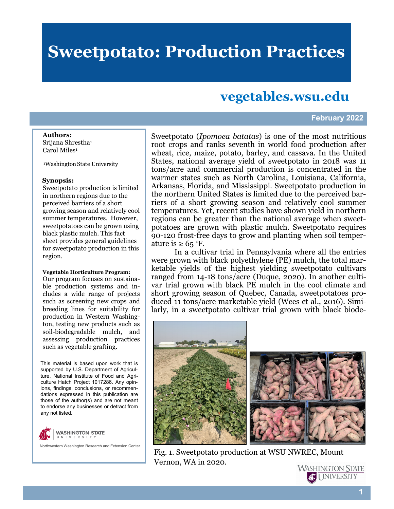# **Sweetpotato: Production Practices**

# **vegetables.wsu.edu**

### **February 2022**

#### **Authors:**

Srijana Shrestha<sup>1</sup> Carol Miles<sup>1</sup>

<sup>1</sup>Washington State University

#### **Synopsis:**

Sweetpotato production is limited in northern regions due to the perceived barriers of a short growing season and relatively cool summer temperatures. However, sweetpotatoes can be grown using black plastic mulch. This fact sheet provides general guidelines for sweetpotato production in this region.

#### **Vegetable Horticulture Program:**

Our program focuses on sustainable production systems and includes a wide range of projects such as screening new crops and breeding lines for suitability for production in Western Washington, testing new products such as soil-biodegradable mulch, and assessing production practices such as vegetable grafting.

This material is based upon work that is supported by U.S. Department of Agriculture, National Institute of Food and Agriculture Hatch Project 1017286. Any opinions, findings, conclusions, or recommendations expressed in this publication are those of the author(s) and are not meant to endorse any businesses or detract from any not listed.



Northwestern Washington Research and Extension Center

Sweetpotato (*Ipomoea batatas*) is one of the most nutritious root crops and ranks seventh in world food production after wheat, rice, maize, potato, barley, and cassava. In the United States, national average yield of sweetpotato in 2018 was 11 tons/acre and commercial production is concentrated in the warmer states such as North Carolina, Louisiana, California, Arkansas, Florida, and Mississippi. Sweetpotato production in the northern United States is limited due to the perceived barriers of a short growing season and relatively cool summer temperatures. Yet, recent studies have shown yield in northern regions can be greater than the national average when sweetpotatoes are grown with plastic mulch. Sweetpotato requires 90-120 frost-free days to grow and planting when soil temperature is  $\geq 65$  °F.

In a cultivar trial in Pennsylvania where all the entries were grown with black polyethylene (PE) mulch, the total marketable yields of the highest yielding sweetpotato cultivars ranged from 14-18 tons/acre (Duque, 2020). In another cultivar trial grown with black PE mulch in the cool climate and short growing season of Quebec, Canada, sweetpotatoes produced 11 tons/acre marketable yield (Wees et al., 2016). Similarly, in a sweetpotato cultivar trial grown with black biode-



Fig. 1. Sweetpotato production at WSU NWREC, Mount Vernon, WA in 2020.